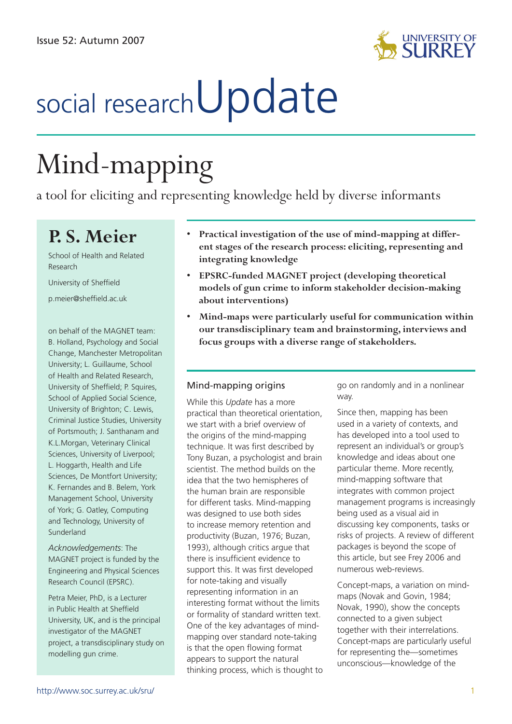

# social research**Update**

## Mind-mapping

a tool for eliciting and representing knowledge held by diverse informants

### **P. S. Meier**

School of Health and Related Research University of Sheffield

p.meier@sheffield.ac.uk

on behalf of the MAGNET team: B. Holland, Psychology and Social Change, Manchester Metropolitan University; L. Guillaume, School of Health and Related Research, University of Sheffield; P. Squires, School of Applied Social Science, University of Brighton; C. Lewis, Criminal Justice Studies, University of Portsmouth; J. Santhanam and K.L.Morgan, Veterinary Clinical Sciences, University of Liverpool; L. Hoggarth, Health and Life Sciences, De Montfort University; K. Fernandes and B. Belem, York Management School, University of York; G. Oatley, Computing and Technology, University of Sunderland

*Acknowledgements*: The MAGNET project is funded by the Engineering and Physical Sciences Research Council (EPSRC).

Petra Meier, PhD, is a Lecturer in Public Health at Sheffield University, UK, and is the principal investigator of the MAGNET project, a transdisciplinary study on modelling gun crime.

- **Practical investigation of the use of mind-mapping at differ-• ent stages of the research process: eliciting, representing and integrating knowledge**
- **EPSRC-funded MAGNET project (developing theoretical • models of gun crime to inform stakeholder decision-making about interventions)**
- **Mind-maps were particularly useful for communication within our transdisciplinary team and brainstorming, interviews and focus groups with a diverse range of stakeholders. •**

#### Mind-mapping origins

While this *Update* has a more practical than theoretical orientation, we start with a brief overview of the origins of the mind-mapping technique. It was first described by Tony Buzan, a psychologist and brain scientist. The method builds on the idea that the two hemispheres of the human brain are responsible for different tasks. Mind-mapping was designed to use both sides to increase memory retention and productivity (Buzan, 1976; Buzan, 1993), although critics argue that there is insufficient evidence to support this. It was first developed for note-taking and visually representing information in an interesting format without the limits or formality of standard written text. One of the key advantages of mindmapping over standard note-taking is that the open flowing format appears to support the natural thinking process, which is thought to go on randomly and in a nonlinear way.

Since then, mapping has been used in a variety of contexts, and has developed into a tool used to represent an individual's or group's knowledge and ideas about one particular theme. More recently, mind-mapping software that integrates with common project management programs is increasingly being used as a visual aid in discussing key components, tasks or risks of projects. A review of different packages is beyond the scope of this article, but see Frey 2006 and numerous web-reviews.

Concept-maps, a variation on mindmaps (Novak and Govin, 1984; Novak, 1990), show the concepts connected to a given subject together with their interrelations. Concept-maps are particularly useful for representing the—sometimes unconscious—knowledge of the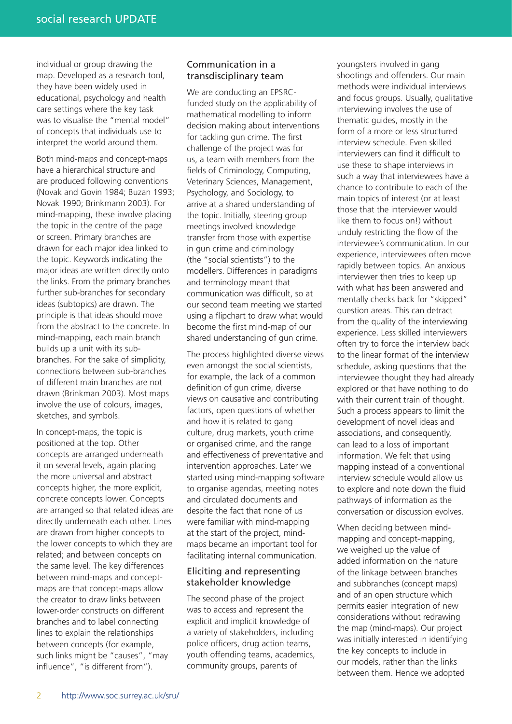individual or group drawing the map. Developed as a research tool, they have been widely used in educational, psychology and health care settings where the key task was to visualise the "mental model" of concepts that individuals use to interpret the world around them.

Both mind-maps and concept-maps have a hierarchical structure and are produced following conventions (Novak and Govin 1984; Buzan 1993; Novak 1990; Brinkmann 2003). For mind-mapping, these involve placing the topic in the centre of the page or screen. Primary branches are drawn for each major idea linked to the topic. Keywords indicating the major ideas are written directly onto the links. From the primary branches further sub-branches for secondary ideas (subtopics) are drawn. The principle is that ideas should move from the abstract to the concrete. In mind-mapping, each main branch builds up a unit with its subbranches. For the sake of simplicity, connections between sub-branches of different main branches are not drawn (Brinkman 2003). Most maps involve the use of colours, images, sketches, and symbols.

In concept-maps, the topic is positioned at the top. Other concepts are arranged underneath it on several levels, again placing the more universal and abstract concepts higher, the more explicit, concrete concepts lower. Concepts are arranged so that related ideas are directly underneath each other. Lines are drawn from higher concepts to the lower concepts to which they are related; and between concepts on the same level. The key differences between mind-maps and conceptmaps are that concept-maps allow the creator to draw links between lower-order constructs on different branches and to label connecting lines to explain the relationships between concepts (for example, such links might be "causes", "may influence", "is different from").

#### Communication in a transdisciplinary team

We are conducting an EPSRCfunded study on the applicability of mathematical modelling to inform decision making about interventions for tackling gun crime. The first challenge of the project was for us, a team with members from the fields of Criminology, Computing, Veterinary Sciences, Management, Psychology, and Sociology, to arrive at a shared understanding of the topic. Initially, steering group meetings involved knowledge transfer from those with expertise in gun crime and criminology (the "social scientists") to the modellers. Differences in paradigms and terminology meant that communication was difficult, so at our second team meeting we started using a flipchart to draw what would become the first mind-map of our shared understanding of gun crime.

The process highlighted diverse views even amongst the social scientists, for example, the lack of a common definition of gun crime, diverse views on causative and contributing factors, open questions of whether and how it is related to gang culture, drug markets, youth crime or organised crime, and the range and effectiveness of preventative and intervention approaches. Later we started using mind-mapping software to organise agendas, meeting notes and circulated documents and despite the fact that none of us were familiar with mind-mapping at the start of the project, mindmaps became an important tool for facilitating internal communication.

#### Eliciting and representing stakeholder knowledge

The second phase of the project was to access and represent the explicit and implicit knowledge of a variety of stakeholders, including police officers, drug action teams, youth offending teams, academics, community groups, parents of

youngsters involved in gang shootings and offenders. Our main methods were individual interviews and focus groups. Usually, qualitative interviewing involves the use of thematic guides, mostly in the form of a more or less structured interview schedule. Even skilled interviewers can find it difficult to use these to shape interviews in such a way that interviewees have a chance to contribute to each of the main topics of interest (or at least those that the interviewer would like them to focus on!) without unduly restricting the flow of the interviewee's communication. In our experience, interviewees often move rapidly between topics. An anxious interviewer then tries to keep up with what has been answered and mentally checks back for "skipped" question areas. This can detract from the quality of the interviewing experience. Less skilled interviewers often try to force the interview back to the linear format of the interview schedule, asking questions that the interviewee thought they had already explored or that have nothing to do with their current train of thought. Such a process appears to limit the development of novel ideas and associations, and consequently, can lead to a loss of important information. We felt that using mapping instead of a conventional interview schedule would allow us to explore and note down the fluid pathways of information as the conversation or discussion evolves.

When deciding between mindmapping and concept-mapping, we weighed up the value of added information on the nature of the linkage between branches and subbranches (concept maps) and of an open structure which permits easier integration of new considerations without redrawing the map (mind-maps). Our project was initially interested in identifying the key concepts to include in our models, rather than the links between them. Hence we adopted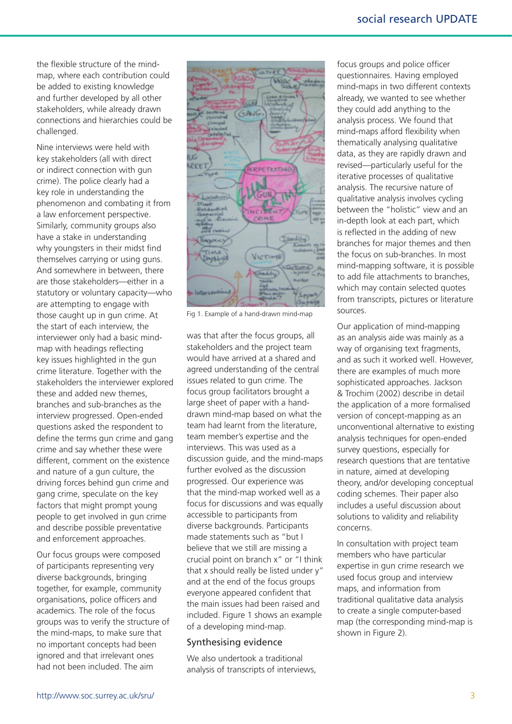the flexible structure of the mindmap, where each contribution could be added to existing knowledge and further developed by all other stakeholders, while already drawn connections and hierarchies could be challenged.

Nine interviews were held with key stakeholders (all with direct or indirect connection with gun crime). The police clearly had a key role in understanding the phenomenon and combating it from a law enforcement perspective. Similarly, community groups also have a stake in understanding why youngsters in their midst find themselves carrying or using guns. And somewhere in between, there are those stakeholders—either in a statutory or voluntary capacity—who are attempting to engage with those caught up in gun crime. At the start of each interview, the interviewer only had a basic mindmap with headings reflecting key issues highlighted in the gun crime literature. Together with the stakeholders the interviewer explored these and added new themes, branches and sub-branches as the interview progressed. Open-ended questions asked the respondent to define the terms gun crime and gang crime and say whether these were different, comment on the existence and nature of a gun culture, the driving forces behind gun crime and gang crime, speculate on the key factors that might prompt young people to get involved in gun crime and describe possible preventative and enforcement approaches.

Our focus groups were composed of participants representing very diverse backgrounds, bringing together, for example, community organisations, police officers and academics. The role of the focus groups was to verify the structure of the mind-maps, to make sure that no important concepts had been ignored and that irrelevant ones had not been included. The aim



Fig 1. Example of a hand-drawn mind-map

was that after the focus groups, all stakeholders and the project team would have arrived at a shared and agreed understanding of the central issues related to gun crime. The focus group facilitators brought a large sheet of paper with a handdrawn mind-map based on what the team had learnt from the literature, team member's expertise and the interviews. This was used as a discussion guide, and the mind-maps further evolved as the discussion progressed. Our experience was that the mind-map worked well as a focus for discussions and was equally accessible to participants from diverse backgrounds. Participants made statements such as "but I believe that we still are missing a crucial point on branch x" or "I think that x should really be listed under y" and at the end of the focus groups everyone appeared confident that the main issues had been raised and included. Figure 1 shows an example of a developing mind-map.

#### Synthesising evidence

We also undertook a traditional analysis of transcripts of interviews, focus groups and police officer questionnaires. Having employed mind-maps in two different contexts already, we wanted to see whether they could add anything to the analysis process. We found that mind-maps afford flexibility when thematically analysing qualitative data, as they are rapidly drawn and revised—particularly useful for the iterative processes of qualitative analysis. The recursive nature of qualitative analysis involves cycling between the "holistic" view and an in-depth look at each part, which is reflected in the adding of new branches for major themes and then the focus on sub-branches. In most mind-mapping software, it is possible to add file attachments to branches, which may contain selected quotes from transcripts, pictures or literature sources.

Our application of mind-mapping as an analysis aide was mainly as a way of organising text fragments, and as such it worked well. However, there are examples of much more sophisticated approaches. Jackson & Trochim (2002) describe in detail the application of a more formalised version of concept-mapping as an unconventional alternative to existing analysis techniques for open-ended survey questions, especially for research questions that are tentative in nature, aimed at developing theory, and/or developing conceptual coding schemes. Their paper also includes a useful discussion about solutions to validity and reliability concerns.

In consultation with project team members who have particular expertise in gun crime research we used focus group and interview maps, and information from traditional qualitative data analysis to create a single computer-based map (the corresponding mind-map is shown in Figure 2).